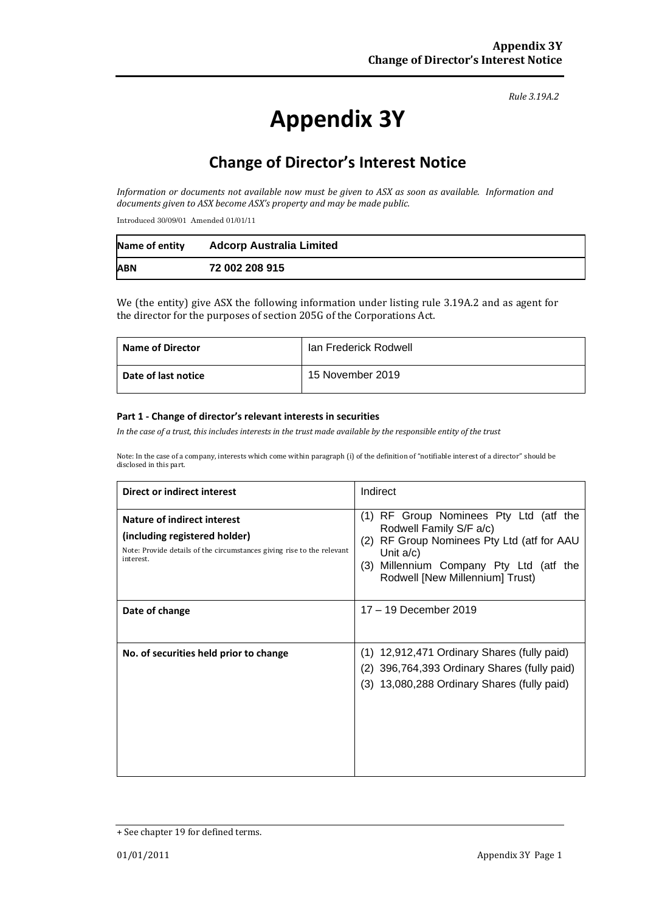#### *Rule 3.19A.2*

# **Appendix 3Y**

# **Change of Director's Interest Notice**

*Information or documents not available now must be given to ASX as soon as available. Information and documents given to ASX become ASX's property and may be made public.*

Introduced 30/09/01 Amended 01/01/11

| Name of entity | <b>Adcorp Australia Limited</b> |
|----------------|---------------------------------|
| <b>ABN</b>     | 72 002 208 915                  |

We (the entity) give ASX the following information under listing rule 3.19A.2 and as agent for the director for the purposes of section 205G of the Corporations Act.

| <b>Name of Director</b> | Ian Frederick Rodwell |
|-------------------------|-----------------------|
| Date of last notice     | 15 November 2019      |

#### **Part 1 - Change of director's relevant interests in securities**

*In the case of a trust, this includes interests in the trust made available by the responsible entity of the trust*

Note: In the case of a company, interests which come within paragraph (i) of the definition of "notifiable interest of a director" should be disclosed in this part.

| Direct or indirect interest                                                                                                                                | Indirect                                                                                                                                                                                                               |  |
|------------------------------------------------------------------------------------------------------------------------------------------------------------|------------------------------------------------------------------------------------------------------------------------------------------------------------------------------------------------------------------------|--|
| <b>Nature of indirect interest</b><br>(including registered holder)<br>Note: Provide details of the circumstances giving rise to the relevant<br>interest. | RF Group Nominees Pty Ltd (atf the<br>(1)<br>Rodwell Family S/F a/c)<br>RF Group Nominees Pty Ltd (atf for AAU<br>(2)<br>Unit $a/c$ )<br>Millennium Company Pty Ltd (atf the<br>(3)<br>Rodwell [New Millennium] Trust) |  |
| Date of change                                                                                                                                             | 17 - 19 December 2019                                                                                                                                                                                                  |  |
| No. of securities held prior to change                                                                                                                     | (1) 12,912,471 Ordinary Shares (fully paid)<br>396,764,393 Ordinary Shares (fully paid)<br>(2)<br>(3) 13,080,288 Ordinary Shares (fully paid)                                                                          |  |

<sup>+</sup> See chapter 19 for defined terms.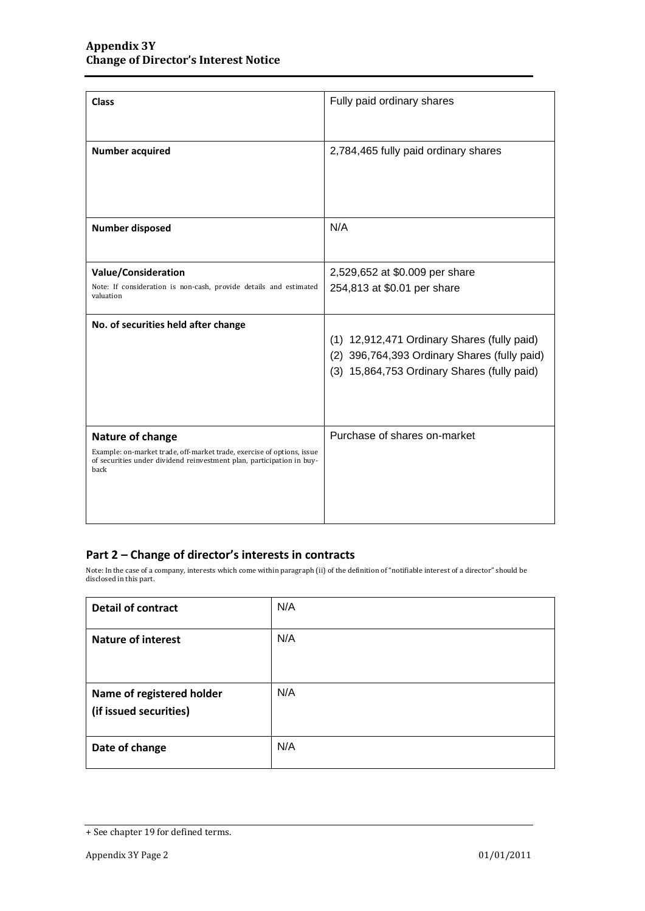| <b>Class</b>                                                                                                                                                                | Fully paid ordinary shares                                                                                                                 |
|-----------------------------------------------------------------------------------------------------------------------------------------------------------------------------|--------------------------------------------------------------------------------------------------------------------------------------------|
| <b>Number acquired</b>                                                                                                                                                      | 2,784,465 fully paid ordinary shares                                                                                                       |
| <b>Number disposed</b>                                                                                                                                                      | N/A                                                                                                                                        |
| Value/Consideration                                                                                                                                                         | 2,529,652 at \$0.009 per share                                                                                                             |
| Note: If consideration is non-cash, provide details and estimated<br>valuation                                                                                              | 254,813 at \$0.01 per share                                                                                                                |
| No. of securities held after change                                                                                                                                         | (1) 12,912,471 Ordinary Shares (fully paid)<br>(2) 396,764,393 Ordinary Shares (fully paid)<br>(3) 15,864,753 Ordinary Shares (fully paid) |
| Nature of change<br>Example: on-market trade, off-market trade, exercise of options, issue<br>of securities under dividend reinvestment plan, participation in buy-<br>back | Purchase of shares on-market                                                                                                               |

### **Part 2 – Change of director's interests in contracts**

Note: In the case of a company, interests which come within paragraph (ii) of the definition of "notifiable interest of a director" should be disclosed in this part.

| <b>Detail of contract</b>                           | N/A |
|-----------------------------------------------------|-----|
| <b>Nature of interest</b>                           | N/A |
| Name of registered holder<br>(if issued securities) | N/A |
| Date of change                                      | N/A |

<sup>+</sup> See chapter 19 for defined terms.